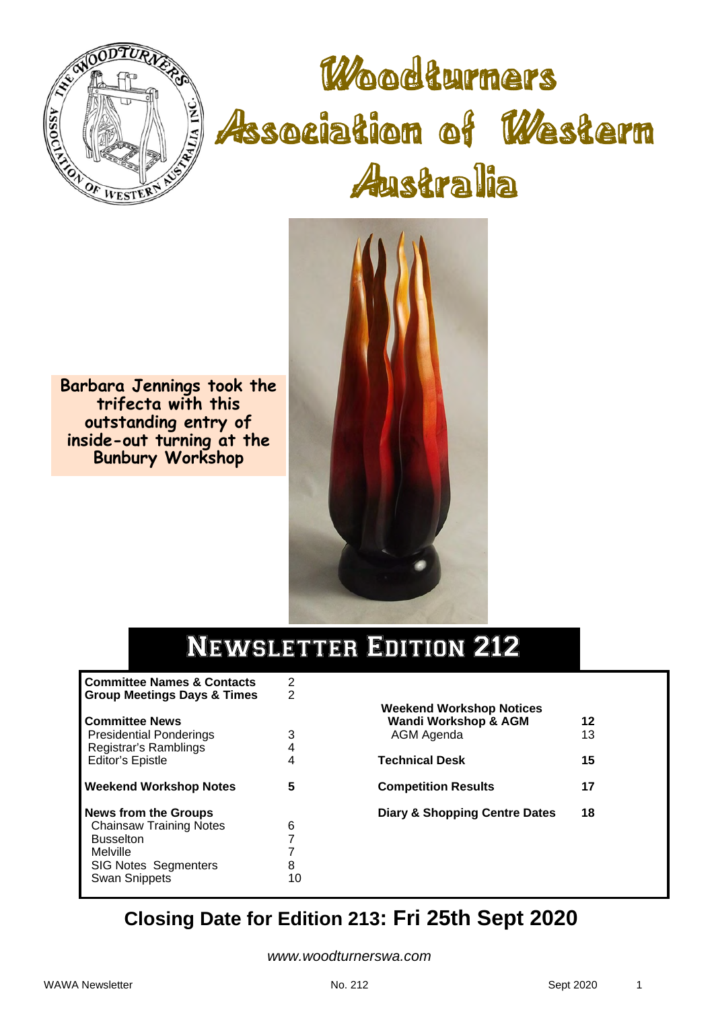

Woodturners Association of Western Australia



**Barbara Jennings took the trifecta with this outstanding entry of inside-out turning at the Bunbury Workshop** 

# Newsletter Edition 212

| <b>Committee Names &amp; Contacts</b><br><b>Group Meetings Days &amp; Times</b>                                                                      | 2<br>2      |
|------------------------------------------------------------------------------------------------------------------------------------------------------|-------------|
| <b>Committee News</b><br><b>Presidential Ponderings</b><br>Registrar's Ramblings<br><b>Editor's Epistle</b>                                          | 3<br>4<br>4 |
| <b>Weekend Workshop Notes</b>                                                                                                                        | 5           |
| <b>News from the Groups</b><br><b>Chainsaw Training Notes</b><br><b>Busselton</b><br>Melville<br><b>SIG Notes Segmenters</b><br><b>Swan Snippets</b> | 6<br>7<br>8 |

| <b>Weekend Workshop Notices</b><br><b>Wandi Workshop &amp; AGM</b><br>AGM Agenda | 12<br>13 |  |
|----------------------------------------------------------------------------------|----------|--|
| <b>Technical Desk</b>                                                            | 15       |  |
| <b>Competition Results</b>                                                       | 17       |  |
| <b>Diary &amp; Shopping Centre Dates</b>                                         | 18       |  |
|                                                                                  |          |  |

# **Closing Date for Edition 213: Fri 25th Sept 2020**

*www.woodturnerswa.com*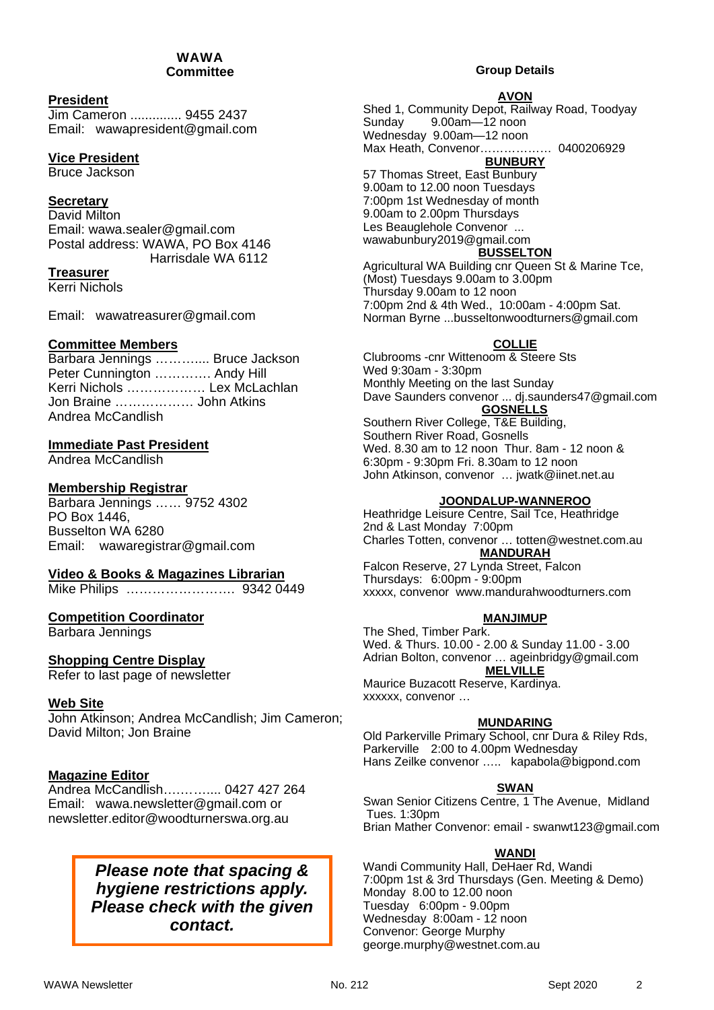#### WAWA **Committee**

#### **President**

Jim Cameron .............. 9455 2437 Email: wawapresident@gmail.com

#### **Vice President**

Bruce Jackson

#### **Secretary**

David Milton Email: wawa.sealer@gmail.com Postal address: WAWA, PO Box 4146 Harrisdale WA 6112

#### **Treasurer**

Kerri Nichols

Email: wawatreasurer@gmail.com

#### **Committee Members**

|                             | Barbara Jennings  Bruce Jackson |
|-----------------------------|---------------------------------|
| Peter Cunnington  Andy Hill |                                 |
|                             | Kerri Nichols  Lex McLachlan    |
| Jon Braine  John Atkins     |                                 |
| Andrea McCandlish           |                                 |

#### **Immediate Past President**

Andrea McCandlish

#### **Membership Registrar**

Barbara Jennings …… 9752 4302 PO Box 1446, Busselton WA 6280 Email: wawaregistrar@gmail.com

#### **Video & Books & Magazines Librarian**

Mike Philips ……………………. 9342 0449

#### **Competition Coordinator**

Barbara Jennings

#### **Shopping Centre Display**

Refer to last page of newsletter

#### **Web Site**

John Atkinson; Andrea McCandlish; Jim Cameron; David Milton; Jon Braine

#### **Magazine Editor**

Andrea McCandlish….…….... 0427 427 264 Email: wawa.newsletter@gmail.com or newsletter.editor@woodturnerswa.org.au

#### *Please note that spacing & hygiene restrictions apply. Please check with the given contact.*

#### **Group Details**

#### **AVON**

Shed 1, Community Depot, Railway Road, Toodyay Sunday 9.00am—12 noon Wednesday 9.00am—12 noon Max Heath, Convenor……………… 0400206929

**BUNBURY** 

57 Thomas Street, East Bunbury 9.00am to 12.00 noon Tuesdays 7:00pm 1st Wednesday of month 9.00am to 2.00pm Thursdays Les Beauglehole Convenor ... wawabunbury2019@gmail.com

# **BUSSELTON**

Agricultural WA Building cnr Queen St & Marine Tce, (Most) Tuesdays 9.00am to 3.00pm Thursday 9.00am to 12 noon 7:00pm 2nd & 4th Wed., 10:00am - 4:00pm Sat. Norman Byrne ...busseltonwoodturners@gmail.com

#### **COLLIE**

Clubrooms -cnr Wittenoom & Steere Sts Wed 9:30am - 3:30pm Monthly Meeting on the last Sunday Dave Saunders convenor ... dj.saunders47@gmail.com **GOSNELLS** 

Southern River College, T&E Building, Southern River Road, Gosnells Wed. 8.30 am to 12 noon Thur. 8am - 12 noon & 6:30pm - 9:30pm Fri. 8.30am to 12 noon John Atkinson, convenor … jwatk@iinet.net.au

#### **JOONDALUP-WANNEROO**

Heathridge Leisure Centre, Sail Tce, Heathridge 2nd & Last Monday 7:00pm Charles Totten, convenor … totten@westnet.com.au **MANDURAH** 

Falcon Reserve, 27 Lynda Street, Falcon Thursdays: 6:00pm - 9:00pm xxxxx, convenor www.mandurahwoodturners.com

#### **MANJIMUP**

The Shed, Timber Park. Wed. & Thurs. 10.00 - 2.00 & Sunday 11.00 - 3.00 Adrian Bolton, convenor … ageinbridgy@gmail.com **MELVILLE**  Maurice Buzacott Reserve, Kardinya. xxxxxx, convenor …

#### **MUNDARING**

Old Parkerville Primary School, cnr Dura & Riley Rds, Parkerville 2:00 to 4.00pm Wednesday Hans Zeilke convenor ….. kapabola@bigpond.com

#### **SWAN**

Swan Senior Citizens Centre, 1 The Avenue, Midland Tues. 1:30pm Brian Mather Convenor: email - swanwt123@gmail.com

#### **WANDI**

Wandi Community Hall, DeHaer Rd, Wandi 7:00pm 1st & 3rd Thursdays (Gen. Meeting & Demo) Monday 8.00 to 12.00 noon Tuesday 6:00pm - 9.00pm Wednesday 8:00am - 12 noon Convenor: George Murphy george.murphy@westnet.com.au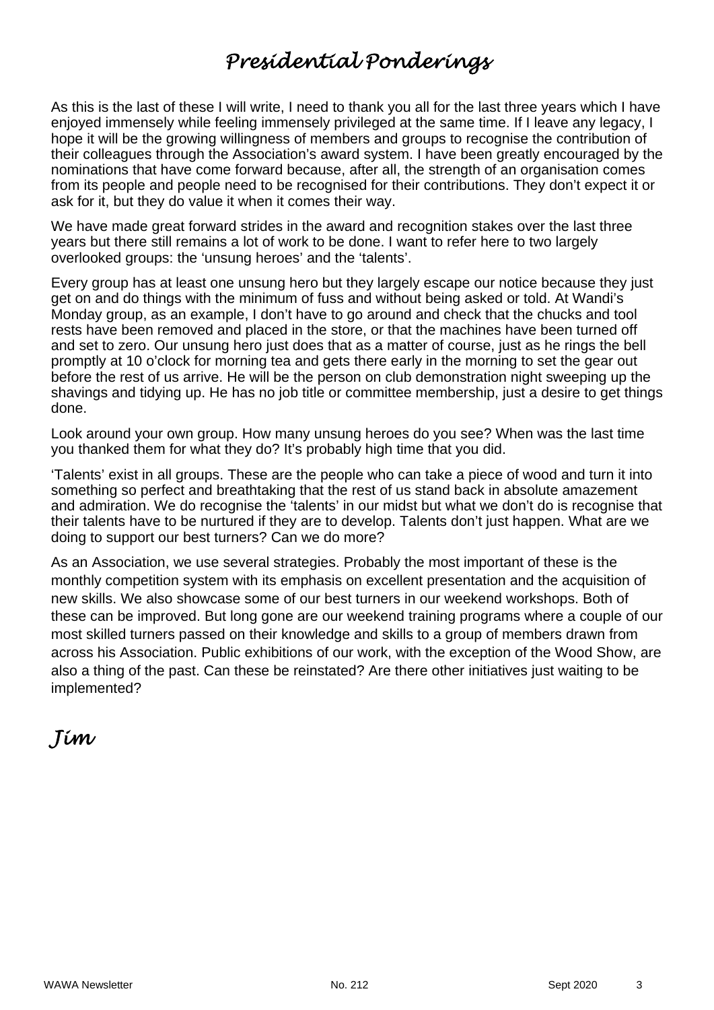# *Presidential Ponderings*

As this is the last of these I will write, I need to thank you all for the last three years which I have enjoyed immensely while feeling immensely privileged at the same time. If I leave any legacy, I hope it will be the growing willingness of members and groups to recognise the contribution of their colleagues through the Association's award system. I have been greatly encouraged by the nominations that have come forward because, after all, the strength of an organisation comes from its people and people need to be recognised for their contributions. They don't expect it or ask for it, but they do value it when it comes their way.

We have made great forward strides in the award and recognition stakes over the last three years but there still remains a lot of work to be done. I want to refer here to two largely overlooked groups: the 'unsung heroes' and the 'talents'.

Every group has at least one unsung hero but they largely escape our notice because they just get on and do things with the minimum of fuss and without being asked or told. At Wandi's Monday group, as an example, I don't have to go around and check that the chucks and tool rests have been removed and placed in the store, or that the machines have been turned off and set to zero. Our unsung hero just does that as a matter of course, just as he rings the bell promptly at 10 o'clock for morning tea and gets there early in the morning to set the gear out before the rest of us arrive. He will be the person on club demonstration night sweeping up the shavings and tidying up. He has no job title or committee membership, just a desire to get things done.

Look around your own group. How many unsung heroes do you see? When was the last time you thanked them for what they do? It's probably high time that you did.

'Talents' exist in all groups. These are the people who can take a piece of wood and turn it into something so perfect and breathtaking that the rest of us stand back in absolute amazement and admiration. We do recognise the 'talents' in our midst but what we don't do is recognise that their talents have to be nurtured if they are to develop. Talents don't just happen. What are we doing to support our best turners? Can we do more?

As an Association, we use several strategies. Probably the most important of these is the monthly competition system with its emphasis on excellent presentation and the acquisition of new skills. We also showcase some of our best turners in our weekend workshops. Both of these can be improved. But long gone are our weekend training programs where a couple of our most skilled turners passed on their knowledge and skills to a group of members drawn from across his Association. Public exhibitions of our work, with the exception of the Wood Show, are also a thing of the past. Can these be reinstated? Are there other initiatives just waiting to be implemented?

# *Jim*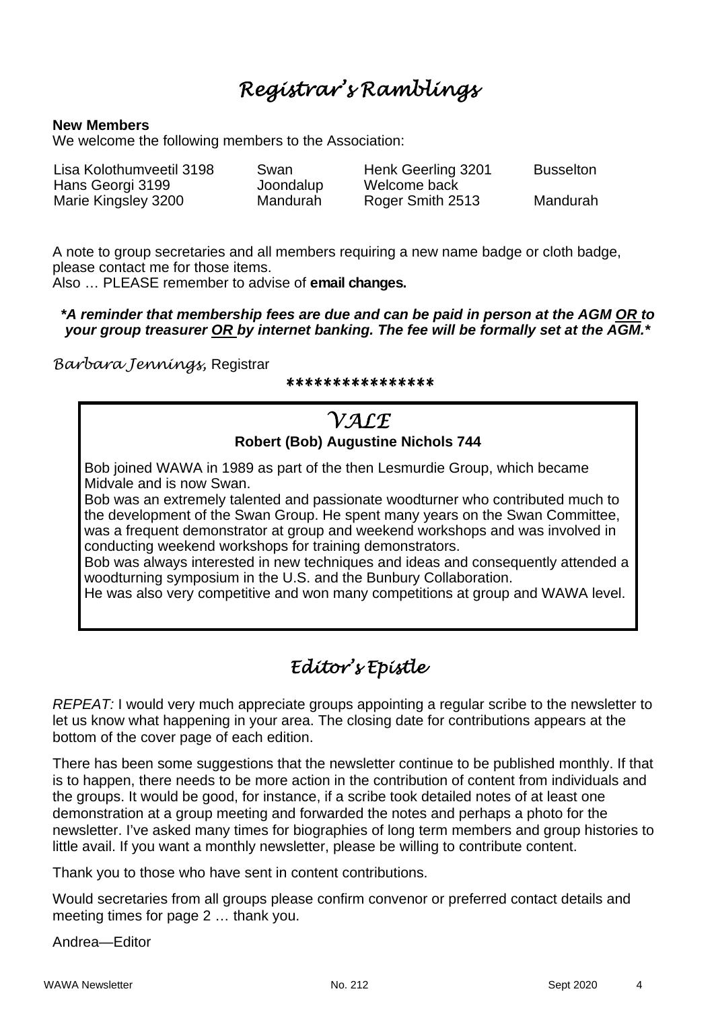# *Registrar's Ramblings*

#### **New Members**

We welcome the following members to the Association:

| Lisa Kolothumveetil 3198 | Swan      | Henk Geerling 3201 | Busselton |
|--------------------------|-----------|--------------------|-----------|
| Hans Georgi 3199         | Joondalup | Welcome back       |           |
| Marie Kingsley 3200      | Mandurah  | Roger Smith 2513   | Mandurah  |

A note to group secretaries and all members requiring a new name badge or cloth badge, please contact me for those items.

Also … PLEASE remember to advise of **email changes.** 

#### *\*A reminder that membership fees are due and can be paid in person at the AGM OR to your group treasurer OR by internet banking. The fee will be formally set at the AGM.\**

*Barbara Jennings,* Registrar

*\*\*\*\*\*\*\*\*\*\*\*\*\*\*\*\**

### *VALE* **Robert (Bob) Augustine Nichols 744**

Bob joined WAWA in 1989 as part of the then Lesmurdie Group, which became Midvale and is now Swan.

Bob was an extremely talented and passionate woodturner who contributed much to the development of the Swan Group. He spent many years on the Swan Committee, was a frequent demonstrator at group and weekend workshops and was involved in conducting weekend workshops for training demonstrators.

Bob was always interested in new techniques and ideas and consequently attended a woodturning symposium in the U.S. and the Bunbury Collaboration.

He was also very competitive and won many competitions at group and WAWA level.

# *Editor's Epistle*

*REPEAT:* I would very much appreciate groups appointing a regular scribe to the newsletter to let us know what happening in your area. The closing date for contributions appears at the bottom of the cover page of each edition.

There has been some suggestions that the newsletter continue to be published monthly. If that is to happen, there needs to be more action in the contribution of content from individuals and the groups. It would be good, for instance, if a scribe took detailed notes of at least one demonstration at a group meeting and forwarded the notes and perhaps a photo for the newsletter. I've asked many times for biographies of long term members and group histories to little avail. If you want a monthly newsletter, please be willing to contribute content.

Thank you to those who have sent in content contributions.

Would secretaries from all groups please confirm convenor or preferred contact details and meeting times for page 2 … thank you.

Andrea—Editor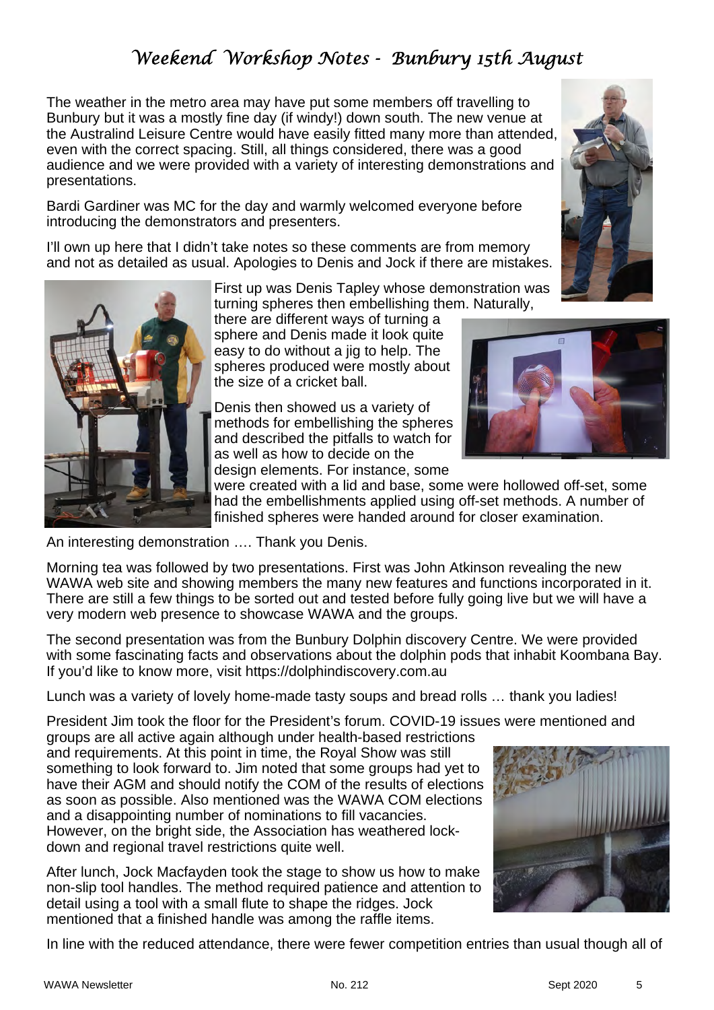# *Weekend Workshop Notes - Bunbury 15th August*

The weather in the metro area may have put some members off travelling to Bunbury but it was a mostly fine day (if windy!) down south. The new venue at the Australind Leisure Centre would have easily fitted many more than attended, even with the correct spacing. Still, all things considered, there was a good audience and we were provided with a variety of interesting demonstrations and presentations.

Bardi Gardiner was MC for the day and warmly welcomed everyone before introducing the demonstrators and presenters.

I'll own up here that I didn't take notes so these comments are from memory and not as detailed as usual. Apologies to Denis and Jock if there are mistakes.

> First up was Denis Tapley whose demonstration was turning spheres then embellishing them. Naturally,

there are different ways of turning a sphere and Denis made it look quite easy to do without a jig to help. The spheres produced were mostly about the size of a cricket ball.

Denis then showed us a variety of methods for embellishing the spheres and described the pitfalls to watch for as well as how to decide on the design elements. For instance, some

were created with a lid and base, some were hollowed off-set, some had the embellishments applied using off-set methods. A number of finished spheres were handed around for closer examination.

An interesting demonstration …. Thank you Denis.

Morning tea was followed by two presentations. First was John Atkinson revealing the new WAWA web site and showing members the many new features and functions incorporated in it. There are still a few things to be sorted out and tested before fully going live but we will have a very modern web presence to showcase WAWA and the groups.

The second presentation was from the Bunbury Dolphin discovery Centre. We were provided with some fascinating facts and observations about the dolphin pods that inhabit Koombana Bay. If you'd like to know more, visit https://dolphindiscovery.com.au

Lunch was a variety of lovely home-made tasty soups and bread rolls … thank you ladies!

President Jim took the floor for the President's forum. COVID-19 issues were mentioned and

groups are all active again although under health-based restrictions and requirements. At this point in time, the Royal Show was still something to look forward to. Jim noted that some groups had yet to have their AGM and should notify the COM of the results of elections as soon as possible. Also mentioned was the WAWA COM elections and a disappointing number of nominations to fill vacancies. However, on the bright side, the Association has weathered lockdown and regional travel restrictions quite well.

After lunch, Jock Macfayden took the stage to show us how to make non-slip tool handles. The method required patience and attention to detail using a tool with a small flute to shape the ridges. Jock mentioned that a finished handle was among the raffle items.

In line with the reduced attendance, there were fewer competition entries than usual though all of





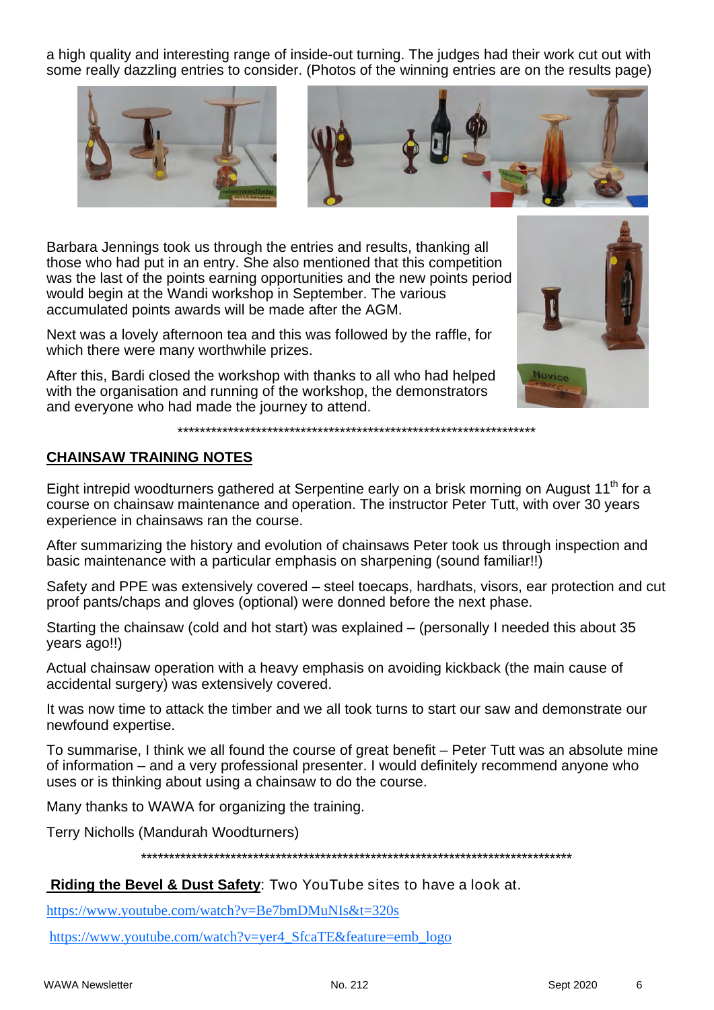a high quality and interesting range of inside-out turning. The judges had their work cut out with some really dazzling entries to consider. (Photos of the winning entries are on the results page)



Barbara Jennings took us through the entries and results, thanking all those who had put in an entry. She also mentioned that this competition was the last of the points earning opportunities and the new points period would begin at the Wandi workshop in September. The various accumulated points awards will be made after the AGM.

Next was a lovely afternoon tea and this was followed by the raffle, for which there were many worthwhile prizes.

After this, Bardi closed the workshop with thanks to all who had helped with the organisation and running of the workshop, the demonstrators and everyone who had made the journey to attend.



#### **CHAINSAW TRAINING NOTES**

Eight intrepid woodturners gathered at Serpentine early on a brisk morning on August 11<sup>th</sup> for a course on chainsaw maintenance and operation. The instructor Peter Tutt, with over 30 years experience in chainsaws ran the course.

\*\*\*\*\*\*\*\*\*\*\*\*\*\*\*\*\*\*\*\*\*\*\*\*\*\*\*\*\*\*\*\*\*\*\*\*\*\*\*\*\*\*\*\*\*\*\*\*\*\*\*\*\*\*\*\*\*\*\*\*\*\*\*\*

After summarizing the history and evolution of chainsaws Peter took us through inspection and basic maintenance with a particular emphasis on sharpening (sound familiar!!)

Safety and PPE was extensively covered – steel toecaps, hardhats, visors, ear protection and cut proof pants/chaps and gloves (optional) were donned before the next phase.

Starting the chainsaw (cold and hot start) was explained – (personally I needed this about 35 years ago!!)

Actual chainsaw operation with a heavy emphasis on avoiding kickback (the main cause of accidental surgery) was extensively covered.

It was now time to attack the timber and we all took turns to start our saw and demonstrate our newfound expertise.

To summarise, I think we all found the course of great benefit – Peter Tutt was an absolute mine of information – and a very professional presenter. I would definitely recommend anyone who uses or is thinking about using a chainsaw to do the course.

Many thanks to WAWA for organizing the training.

Terry Nicholls (Mandurah Woodturners)

\*\*\*\*\*\*\*\*\*\*\*\*\*\*\*\*\*\*\*\*\*\*\*\*\*\*\*\*\*\*\*\*\*\*\*\*\*\*\*\*\*\*\*\*\*\*\*\*\*\*\*\*\*\*\*\*\*\*\*\*\*\*\*\*\*\*\*\*\*\*\*\*\*\*\*\*\*

#### **Riding the Bevel & Dust Safety**: Two YouTube sites to have a look at.

https://www.youtube.com/watch?v=Be7bmDMuNIs&t=320s

https://www.youtube.com/watch?v=yer4\_SfcaTE&feature=emb\_logo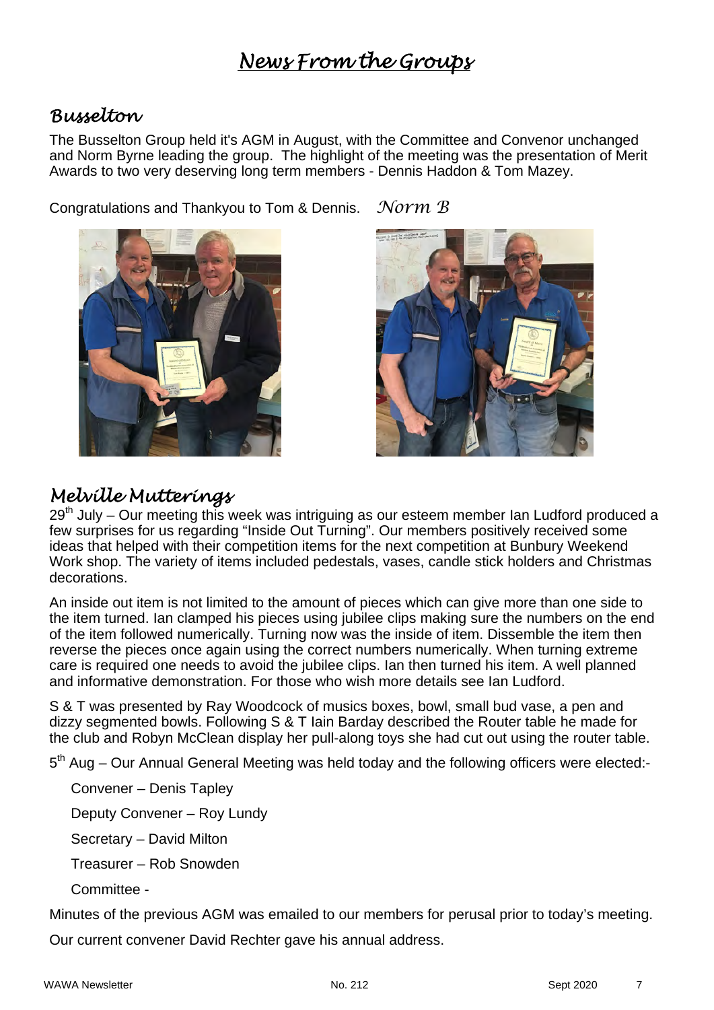# *News From the Groups*

## *Busselton*

The Busselton Group held it's AGM in August, with the Committee and Convenor unchanged and Norm Byrne leading the group. The highlight of the meeting was the presentation of Merit Awards to two very deserving long term members - Dennis Haddon & Tom Mazey.

Congratulations and Thankyou to Tom & Dennis. *Norm B* 



**PER DIRECT MARKET IN** 

# *Melville Mutterings*

29<sup>th</sup> July – Our meeting this week was intriguing as our esteem member Ian Ludford produced a few surprises for us regarding "Inside Out Turning". Our members positively received some ideas that helped with their competition items for the next competition at Bunbury Weekend Work shop. The variety of items included pedestals, vases, candle stick holders and Christmas decorations.

An inside out item is not limited to the amount of pieces which can give more than one side to the item turned. Ian clamped his pieces using jubilee clips making sure the numbers on the end of the item followed numerically. Turning now was the inside of item. Dissemble the item then reverse the pieces once again using the correct numbers numerically. When turning extreme care is required one needs to avoid the jubilee clips. Ian then turned his item. A well planned and informative demonstration. For those who wish more details see Ian Ludford.

S & T was presented by Ray Woodcock of musics boxes, bowl, small bud vase, a pen and dizzy segmented bowls. Following S & T Iain Barday described the Router table he made for the club and Robyn McClean display her pull-along toys she had cut out using the router table.

5<sup>th</sup> Aug – Our Annual General Meeting was held today and the following officers were elected:-

Convener – Denis Tapley

Deputy Convener – Roy Lundy

Secretary – David Milton

Treasurer – Rob Snowden

Committee -

Minutes of the previous AGM was emailed to our members for perusal prior to today's meeting.

Our current convener David Rechter gave his annual address.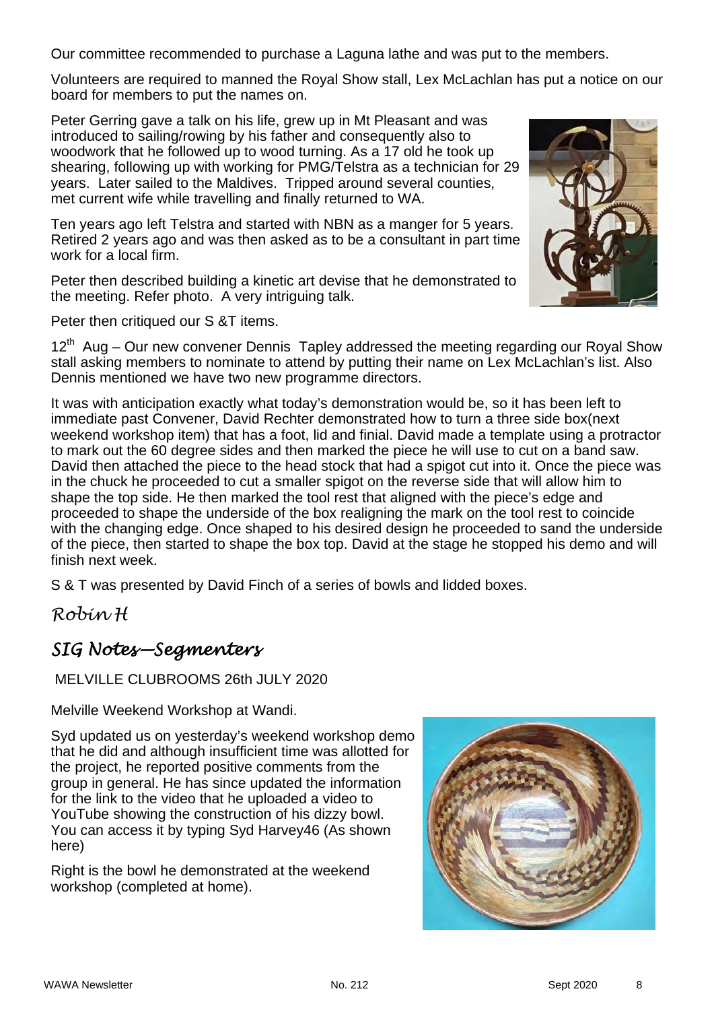Our committee recommended to purchase a Laguna lathe and was put to the members.

Volunteers are required to manned the Royal Show stall, Lex McLachlan has put a notice on our board for members to put the names on.

Peter Gerring gave a talk on his life, grew up in Mt Pleasant and was introduced to sailing/rowing by his father and consequently also to woodwork that he followed up to wood turning. As a 17 old he took up shearing, following up with working for PMG/Telstra as a technician for 29 years. Later sailed to the Maldives. Tripped around several counties, met current wife while travelling and finally returned to WA.

Ten years ago left Telstra and started with NBN as a manger for 5 years. Retired 2 years ago and was then asked as to be a consultant in part time work for a local firm.

Peter then described building a kinetic art devise that he demonstrated to the meeting. Refer photo. A very intriguing talk.

Peter then critiqued our S &T items.

 $12<sup>th</sup>$  Aug – Our new convener Dennis Tapley addressed the meeting regarding our Royal Show stall asking members to nominate to attend by putting their name on Lex McLachlan's list. Also Dennis mentioned we have two new programme directors.

It was with anticipation exactly what today's demonstration would be, so it has been left to immediate past Convener, David Rechter demonstrated how to turn a three side box(next weekend workshop item) that has a foot, lid and finial. David made a template using a protractor to mark out the 60 degree sides and then marked the piece he will use to cut on a band saw. David then attached the piece to the head stock that had a spigot cut into it. Once the piece was in the chuck he proceeded to cut a smaller spigot on the reverse side that will allow him to shape the top side. He then marked the tool rest that aligned with the piece's edge and proceeded to shape the underside of the box realigning the mark on the tool rest to coincide with the changing edge. Once shaped to his desired design he proceeded to sand the underside of the piece, then started to shape the box top. David at the stage he stopped his demo and will finish next week.

S & T was presented by David Finch of a series of bowls and lidded boxes.

*Robin H* 

### *SIG Notes—Segmenters*

MELVILLE CLUBROOMS 26th JULY 2020

Melville Weekend Workshop at Wandi.

Syd updated us on yesterday's weekend workshop demo that he did and although insufficient time was allotted for the project, he reported positive comments from the group in general. He has since updated the information for the link to the video that he uploaded a video to YouTube showing the construction of his dizzy bowl. You can access it by typing Syd Harvey46 (As shown here)

Right is the bowl he demonstrated at the weekend workshop (completed at home).

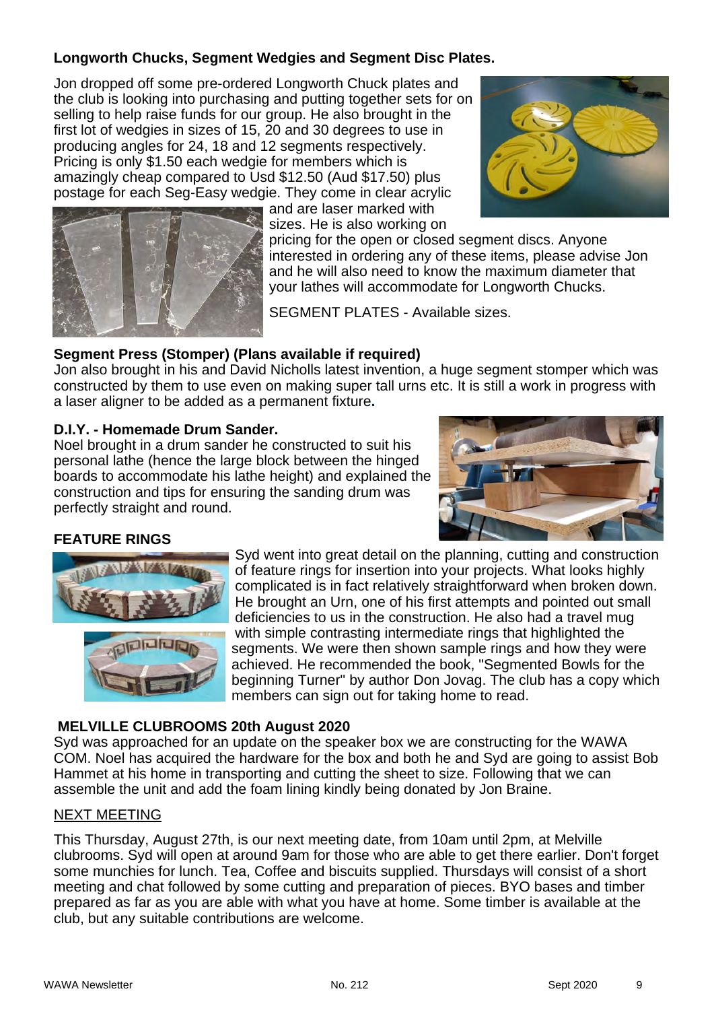#### **Longworth Chucks, Segment Wedgies and Segment Disc Plates.**

Jon dropped off some pre-ordered Longworth Chuck plates and the club is looking into purchasing and putting together sets for on selling to help raise funds for our group. He also brought in the first lot of wedgies in sizes of 15, 20 and 30 degrees to use in producing angles for 24, 18 and 12 segments respectively. Pricing is only \$1.50 each wedgie for members which is amazingly cheap compared to Usd \$12.50 (Aud \$17.50) plus

postage for each Seg-Easy wedgie. They come in clear acrylic



and are laser marked with sizes. He is also working on

pricing for the open or closed segment discs. Anyone interested in ordering any of these items, please advise Jon and he will also need to know the maximum diameter that your lathes will accommodate for Longworth Chucks.

SEGMENT PLATES - Available sizes.

#### **Segment Press (Stomper) (Plans available if required)**

Jon also brought in his and David Nicholls latest invention, a huge segment stomper which was constructed by them to use even on making super tall urns etc. It is still a work in progress with a laser aligner to be added as a permanent fixture**.** 

#### **D.I.Y. - Homemade Drum Sander.**

Noel brought in a drum sander he constructed to suit his personal lathe (hence the large block between the hinged boards to accommodate his lathe height) and explained the construction and tips for ensuring the sanding drum was perfectly straight and round.



#### **FEATURE RINGS**



Syd went into great detail on the planning, cutting and construction of feature rings for insertion into your projects. What looks highly complicated is in fact relatively straightforward when broken down. He brought an Urn, one of his first attempts and pointed out small deficiencies to us in the construction. He also had a travel mug with simple contrasting intermediate rings that highlighted the segments. We were then shown sample rings and how they were achieved. He recommended the book, "Segmented Bowls for the beginning Turner" by author Don Jovag. The club has a copy which members can sign out for taking home to read.

#### **MELVILLE CLUBROOMS 20th August 2020**

Syd was approached for an update on the speaker box we are constructing for the WAWA COM. Noel has acquired the hardware for the box and both he and Syd are going to assist Bob Hammet at his home in transporting and cutting the sheet to size. Following that we can assemble the unit and add the foam lining kindly being donated by Jon Braine.

#### NEXT MEETING

This Thursday, August 27th, is our next meeting date, from 10am until 2pm, at Melville clubrooms. Syd will open at around 9am for those who are able to get there earlier. Don't forget some munchies for lunch. Tea, Coffee and biscuits supplied. Thursdays will consist of a short meeting and chat followed by some cutting and preparation of pieces. BYO bases and timber prepared as far as you are able with what you have at home. Some timber is available at the club, but any suitable contributions are welcome.

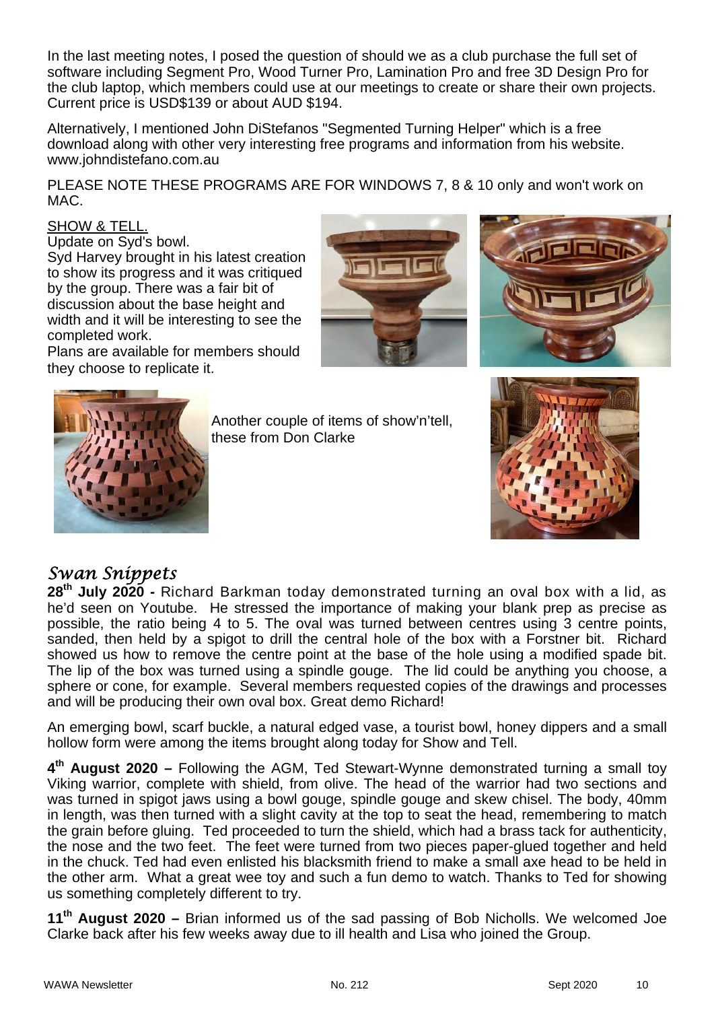In the last meeting notes, I posed the question of should we as a club purchase the full set of software including Segment Pro, Wood Turner Pro, Lamination Pro and free 3D Design Pro for the club laptop, which members could use at our meetings to create or share their own projects. Current price is USD\$139 or about AUD \$194.

Alternatively, I mentioned John DiStefanos "Segmented Turning Helper" which is a free download along with other very interesting free programs and information from his website. www.johndistefano.com.au

PLEASE NOTE THESE PROGRAMS ARE FOR WINDOWS 7, 8 & 10 only and won't work on MAC.

#### SHOW & TELL.

Update on Syd's bowl.

Syd Harvey brought in his latest creation to show its progress and it was critiqued by the group. There was a fair bit of discussion about the base height and width and it will be interesting to see the completed work.

Plans are available for members should they choose to replicate it.







Another couple of items of show'n'tell, these from Don Clarke



### *Swan Snippets*

28<sup>th</sup> July 2020 - Richard Barkman today demonstrated turning an oval box with a lid, as he'd seen on Youtube. He stressed the importance of making your blank prep as precise as possible, the ratio being 4 to 5. The oval was turned between centres using 3 centre points, sanded, then held by a spigot to drill the central hole of the box with a Forstner bit. Richard showed us how to remove the centre point at the base of the hole using a modified spade bit. The lip of the box was turned using a spindle gouge. The lid could be anything you choose, a sphere or cone, for example. Several members requested copies of the drawings and processes and will be producing their own oval box. Great demo Richard!

An emerging bowl, scarf buckle, a natural edged vase, a tourist bowl, honey dippers and a small hollow form were among the items brought along today for Show and Tell.

**4th August 2020 –** Following the AGM, Ted Stewart-Wynne demonstrated turning a small toy Viking warrior, complete with shield, from olive. The head of the warrior had two sections and was turned in spigot jaws using a bowl gouge, spindle gouge and skew chisel. The body, 40mm in length, was then turned with a slight cavity at the top to seat the head, remembering to match the grain before gluing. Ted proceeded to turn the shield, which had a brass tack for authenticity, the nose and the two feet. The feet were turned from two pieces paper-glued together and held in the chuck. Ted had even enlisted his blacksmith friend to make a small axe head to be held in the other arm. What a great wee toy and such a fun demo to watch. Thanks to Ted for showing us something completely different to try.

**11th August 2020 –** Brian informed us of the sad passing of Bob Nicholls. We welcomed Joe Clarke back after his few weeks away due to ill health and Lisa who joined the Group.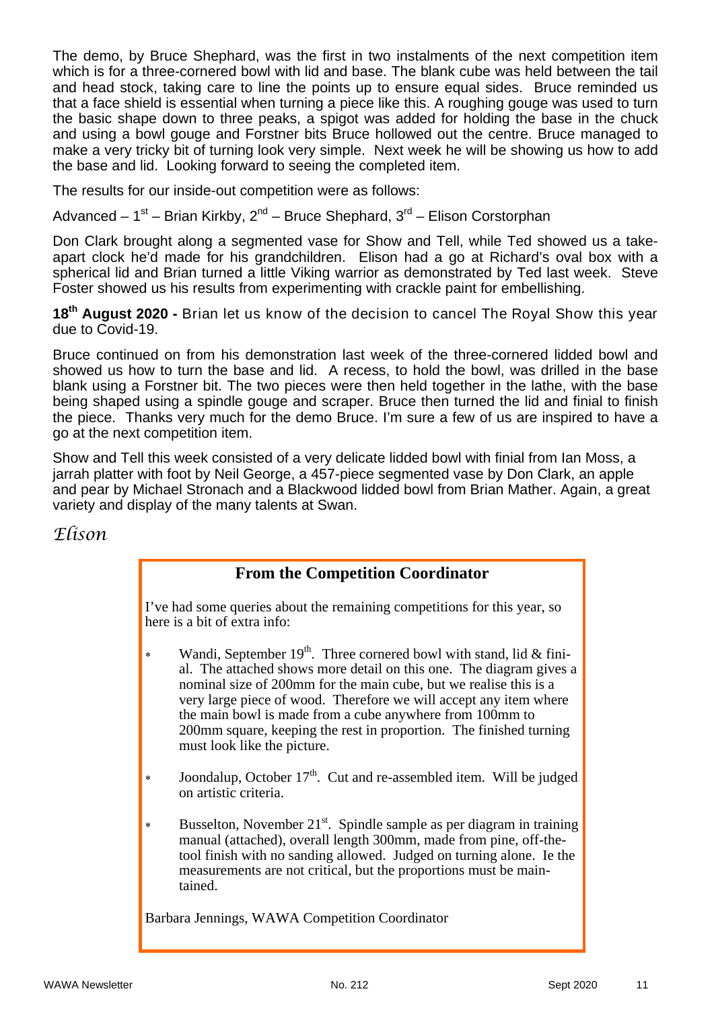The demo, by Bruce Shephard, was the first in two instalments of the next competition item which is for a three-cornered bowl with lid and base. The blank cube was held between the tail and head stock, taking care to line the points up to ensure equal sides. Bruce reminded us that a face shield is essential when turning a piece like this. A roughing gouge was used to turn the basic shape down to three peaks, a spigot was added for holding the base in the chuck and using a bowl gouge and Forstner bits Bruce hollowed out the centre. Bruce managed to make a very tricky bit of turning look very simple. Next week he will be showing us how to add the base and lid. Looking forward to seeing the completed item.

The results for our inside-out competition were as follows:

Advanced –  $1^{st}$  – Brian Kirkby,  $2^{nd}$  – Bruce Shephard,  $3^{rd}$  – Elison Corstorphan

Don Clark brought along a segmented vase for Show and Tell, while Ted showed us a takeapart clock he'd made for his grandchildren. Elison had a go at Richard's oval box with a spherical lid and Brian turned a little Viking warrior as demonstrated by Ted last week. Steve Foster showed us his results from experimenting with crackle paint for embellishing.

18<sup>th</sup> August 2020 - Brian let us know of the decision to cancel The Royal Show this year due to Covid-19.

Bruce continued on from his demonstration last week of the three-cornered lidded bowl and showed us how to turn the base and lid. A recess, to hold the bowl, was drilled in the base blank using a Forstner bit. The two pieces were then held together in the lathe, with the base being shaped using a spindle gouge and scraper. Bruce then turned the lid and finial to finish the piece. Thanks very much for the demo Bruce. I'm sure a few of us are inspired to have a go at the next competition item.

Show and Tell this week consisted of a very delicate lidded bowl with finial from Ian Moss, a jarrah platter with foot by Neil George, a 457-piece segmented vase by Don Clark, an apple and pear by Michael Stronach and a Blackwood lidded bowl from Brian Mather. Again, a great variety and display of the many talents at Swan.

#### *Elison*

### **From the Competition Coordinator**

I've had some queries about the remaining competitions for this year, so here is a bit of extra info:

- \* Wandi, September 19<sup>th</sup>. Three cornered bowl with stand, lid & finial. The attached shows more detail on this one. The diagram gives a nominal size of 200mm for the main cube, but we realise this is a very large piece of wood. Therefore we will accept any item where the main bowl is made from a cube anywhere from 100mm to 200mm square, keeping the rest in proportion. The finished turning must look like the picture.
- Joondalup, October  $17<sup>th</sup>$ . Cut and re-assembled item. Will be judged on artistic criteria.
- Busselton, November  $21^{st}$ . Spindle sample as per diagram in training manual (attached), overall length 300mm, made from pine, off-thetool finish with no sanding allowed. Judged on turning alone. Ie the measurements are not critical, but the proportions must be maintained.

Barbara Jennings, WAWA Competition Coordinator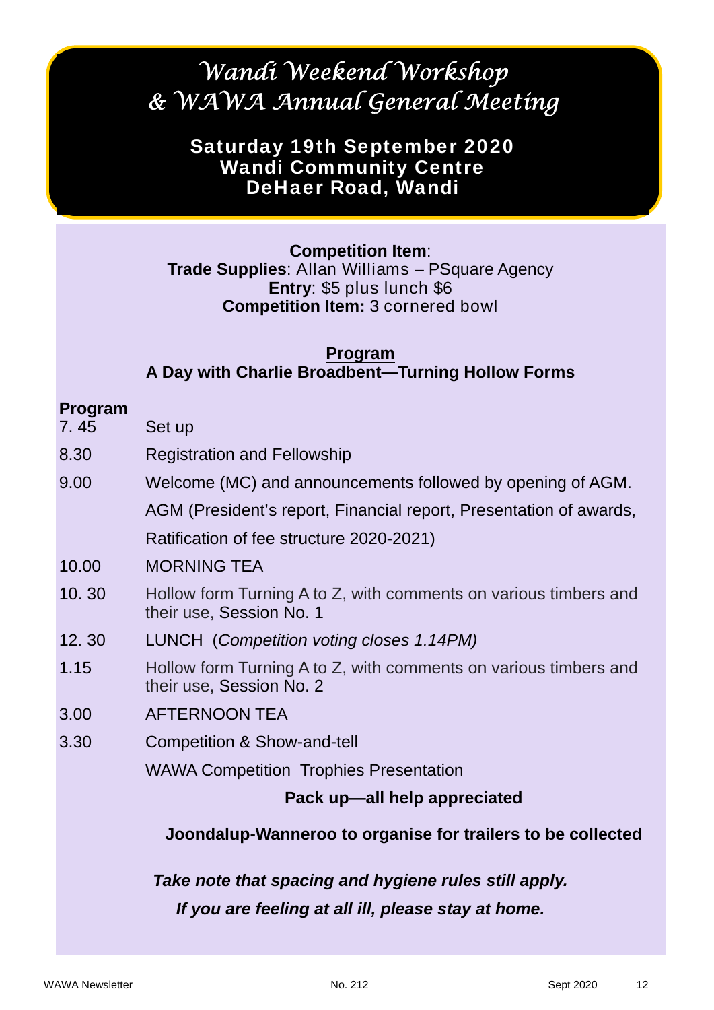# *Wandi Weekend Workshop & WAWA Annual General Meeting*

# Saturday 19th September 2020 Wandi Community Centre DeHaer Road, Wandi

### **Competition Item**:

**Trade Supplies**: Allan Williams – PSquare Agency **Entry**: \$5 plus lunch \$6 **Competition Item:** 3 cornered bowl

### **Program A Day with Charlie Broadbent—Turning Hollow Forms**

### **Program**

- 7. 45 Set up
- 8.30 Registration and Fellowship
- 9.00 Welcome (MC) and announcements followed by opening of AGM.

AGM (President's report, Financial report, Presentation of awards,

Ratification of fee structure 2020-2021)

- 10.00 MORNING TEA
- 10. 30 Hollow form Turning A to Z, with comments on various timbers and their use, Session No. 1
- 12. 30 LUNCH (*Competition voting closes 1.14PM)*
- 1.15 Hollow form Turning A to Z, with comments on various timbers and their use, Session No. 2
- 3.00 AFTERNOON TEA
- 3.30 Competition & Show-and-tell

WAWA Competition Trophies Presentation

### **Pack up—all help appreciated**

### **Joondalup-Wanneroo to organise for trailers to be collected**

*Take note that spacing and hygiene rules still apply. If you are feeling at all ill, please stay at home.*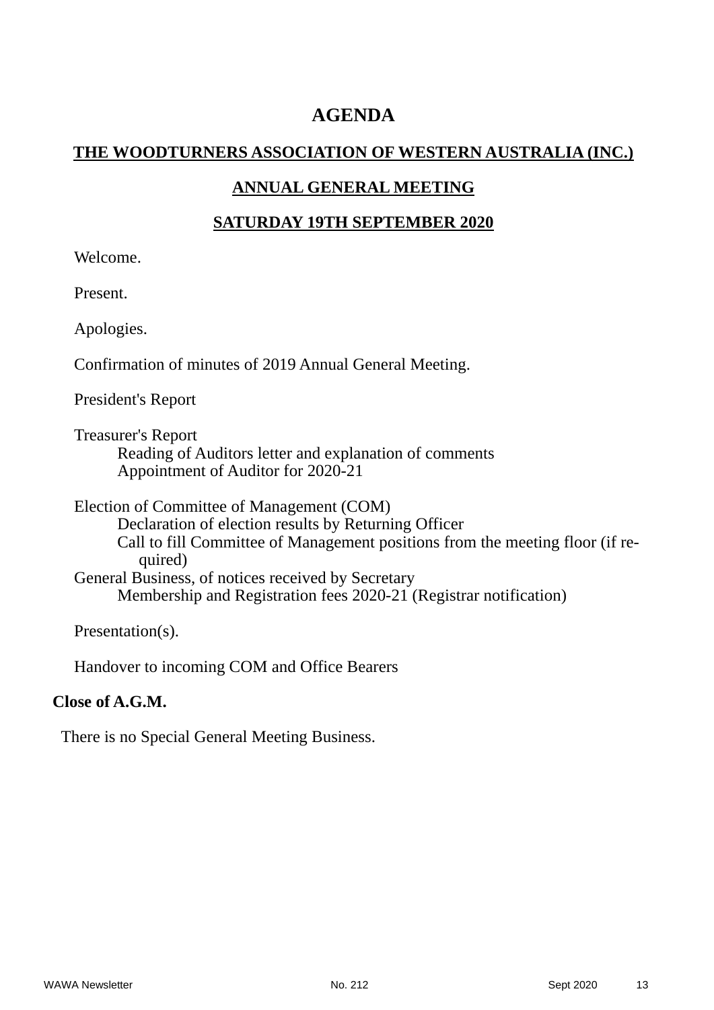## **AGENDA**

#### **THE WOODTURNERS ASSOCIATION OF WESTERN AUSTRALIA (INC.)**

### **ANNUAL GENERAL MEETING**

#### **SATURDAY 19TH SEPTEMBER 2020**

Welcome.

Present.

Apologies.

Confirmation of minutes of 2019 Annual General Meeting.

President's Report

Treasurer's Report Reading of Auditors letter and explanation of comments Appointment of Auditor for 2020-21

Election of Committee of Management (COM) Declaration of election results by Returning Officer Call to fill Committee of Management positions from the meeting floor (if required) General Business, of notices received by Secretary Membership and Registration fees 2020-21 (Registrar notification)

Presentation(s).

Handover to incoming COM and Office Bearers

#### **Close of A.G.M.**

There is no Special General Meeting Business.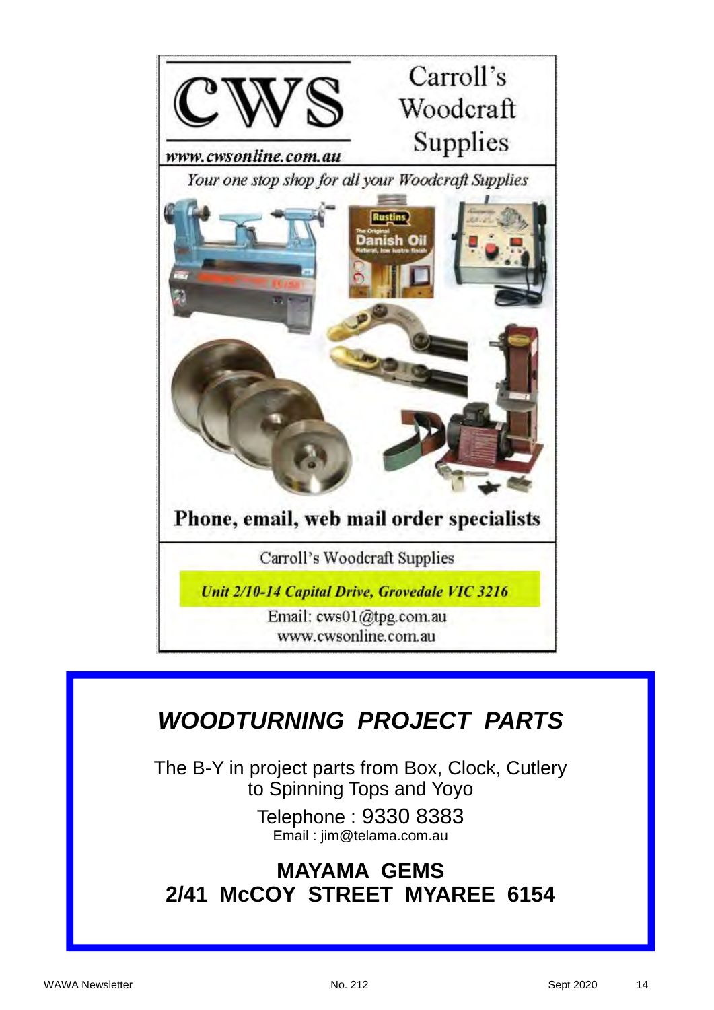

# *WOODTURNING PROJECT PARTS*

The B-Y in project parts from Box, Clock, Cutlery to Spinning Tops and Yoyo

> Telephone : 9330 8383 Email : jim@telama.com.au

# **MAYAMA GEMS 2/41 McCOY STREET MYAREE 6154**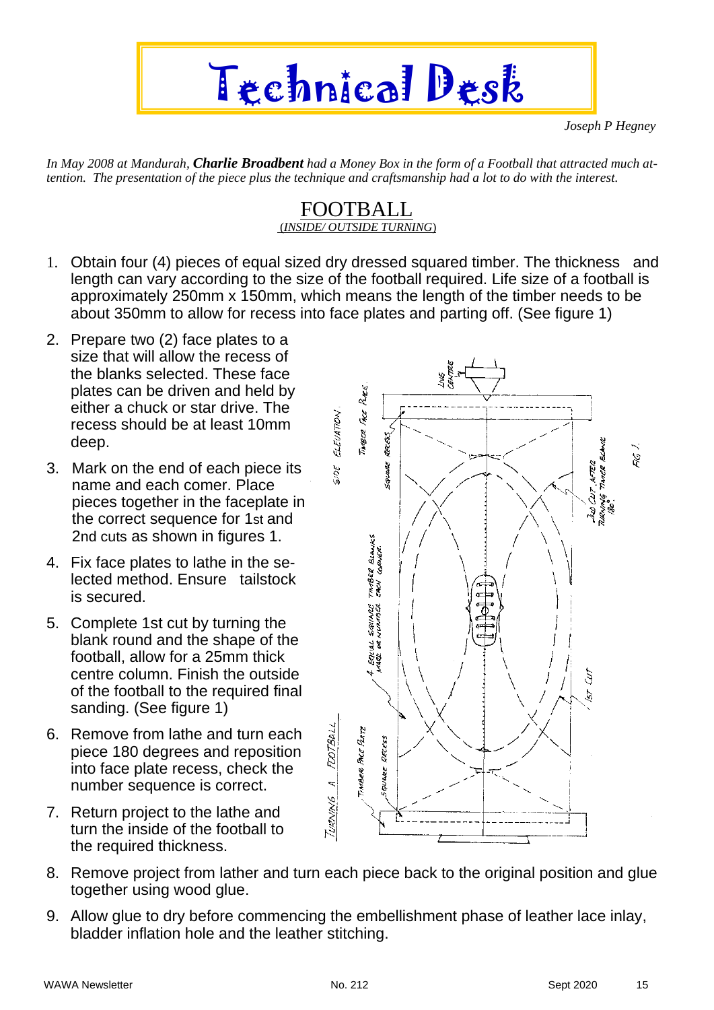

*Joseph P Hegney*

*In May 2008 at Mandurah, Charlie Broadbent had a Money Box in the form of a Football that attracted much attention. The presentation of the piece plus the technique and craftsmanship had a lot to do with the interest.* 

#### FOOTBALL (*INSIDE/ OUTSIDE TURNING*)

- 1. Obtain four (4) pieces of equal sized dry dressed squared timber. The thickness and length can vary according to the size of the football required. Life size of a football is approximately 250mm x 150mm, which means the length of the timber needs to be about 350mm to allow for recess into face plates and parting off. (See figure 1)
- 2. Prepare two (2) face plates to a size that will allow the recess of the blanks selected. These face plates can be driven and held by either a chuck or star drive. The recess should be at least 10mm deep.
- 3. Mark on the end of each piece its name and each comer. Place pieces together in the faceplate in the correct sequence for 1st and 2nd cuts as shown in figures 1.
- 4. Fix face plates to lathe in the selected method. Ensure tailstock is secured.
- 5. Complete 1st cut by turning the blank round and the shape of the football, allow for a 25mm thick centre column. Finish the outside of the football to the required final sanding. (See figure 1)
- 6. Remove from lathe and turn each piece 180 degrees and reposition into face plate recess, check the number sequence is correct.
- 7. Return project to the lathe and turn the inside of the football to the required thickness.



- 8. Remove project from lather and turn each piece back to the original position and glue together using wood glue.
- 9. Allow glue to dry before commencing the embellishment phase of leather lace inlay, bladder inflation hole and the leather stitching.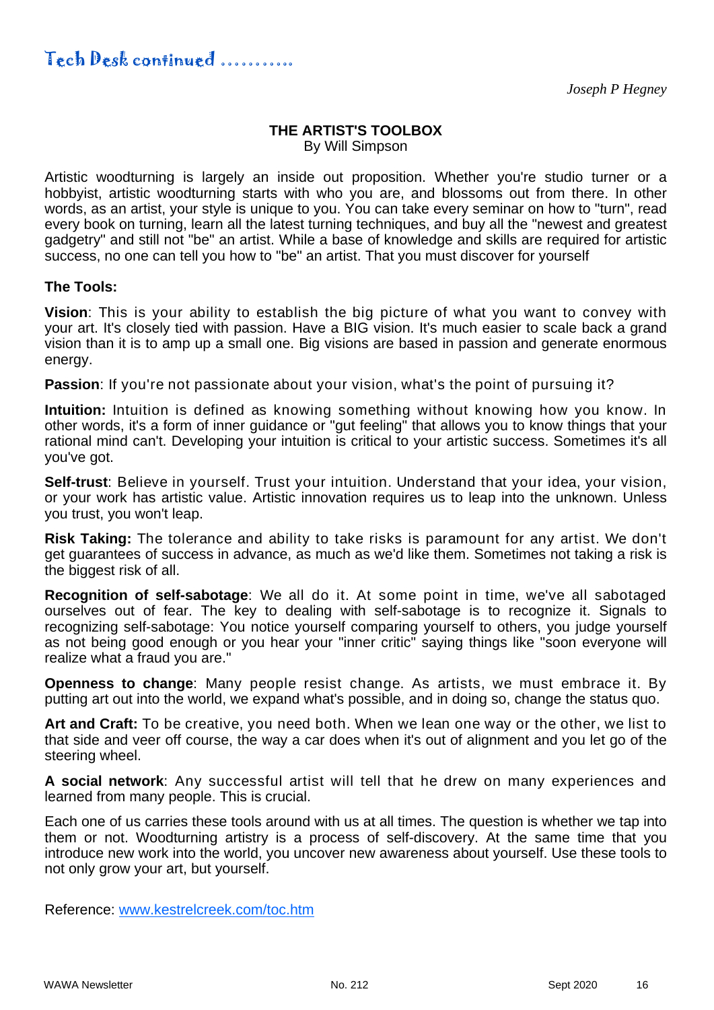#### **THE ARTIST'S TOOLBOX**  By Will Simpson

Artistic woodturning is largely an inside out proposition. Whether you're studio turner or a hobbyist, artistic woodturning starts with who you are, and blossoms out from there. In other words, as an artist, your style is unique to you. You can take every seminar on how to "turn", read every book on turning, learn all the latest turning techniques, and buy all the "newest and greatest gadgetry" and still not "be" an artist. While a base of knowledge and skills are required for artistic success, no one can tell you how to "be" an artist. That you must discover for yourself

#### **The Tools:**

**Vision**: This is your ability to establish the big picture of what you want to convey with your art. It's closely tied with passion. Have a BIG vision. It's much easier to scale back a grand vision than it is to amp up a small one. Big visions are based in passion and generate enormous energy.

**Passion:** If you're not passionate about your vision, what's the point of pursuing it?

**Intuition:** Intuition is defined as knowing something without knowing how you know. In other words, it's a form of inner guidance or "gut feeling" that allows you to know things that your rational mind can't. Developing your intuition is critical to your artistic success. Sometimes it's all you've got.

**Self-trust**: Believe in yourself. Trust your intuition. Understand that your idea, your vision, or your work has artistic value. Artistic innovation requires us to leap into the unknown. Unless you trust, you won't leap.

**Risk Taking:** The tolerance and ability to take risks is paramount for any artist. We don't get guarantees of success in advance, as much as we'd like them. Sometimes not taking a risk is the biggest risk of all.

**Recognition of self-sabotage**: We all do it. At some point in time, we've all sabotaged ourselves out of fear. The key to dealing with self-sabotage is to recognize it. Signals to recognizing self-sabotage: You notice yourself comparing yourself to others, you judge yourself as not being good enough or you hear your "inner critic" saying things like "soon everyone will realize what a fraud you are."

**Openness to change**: Many people resist change. As artists, we must embrace it. By putting art out into the world, we expand what's possible, and in doing so, change the status quo.

**Art and Craft:** To be creative, you need both. When we lean one way or the other, we list to that side and veer off course, the way a car does when it's out of alignment and you let go of the steering wheel.

**A social network**: Any successful artist will tell that he drew on many experiences and learned from many people. This is crucial.

Each one of us carries these tools around with us at all times. The question is whether we tap into them or not. Woodturning artistry is a process of self-discovery. At the same time that you introduce new work into the world, you uncover new awareness about yourself. Use these tools to not only grow your art, but yourself.

Reference: www.kestrelcreek.com/toc.htm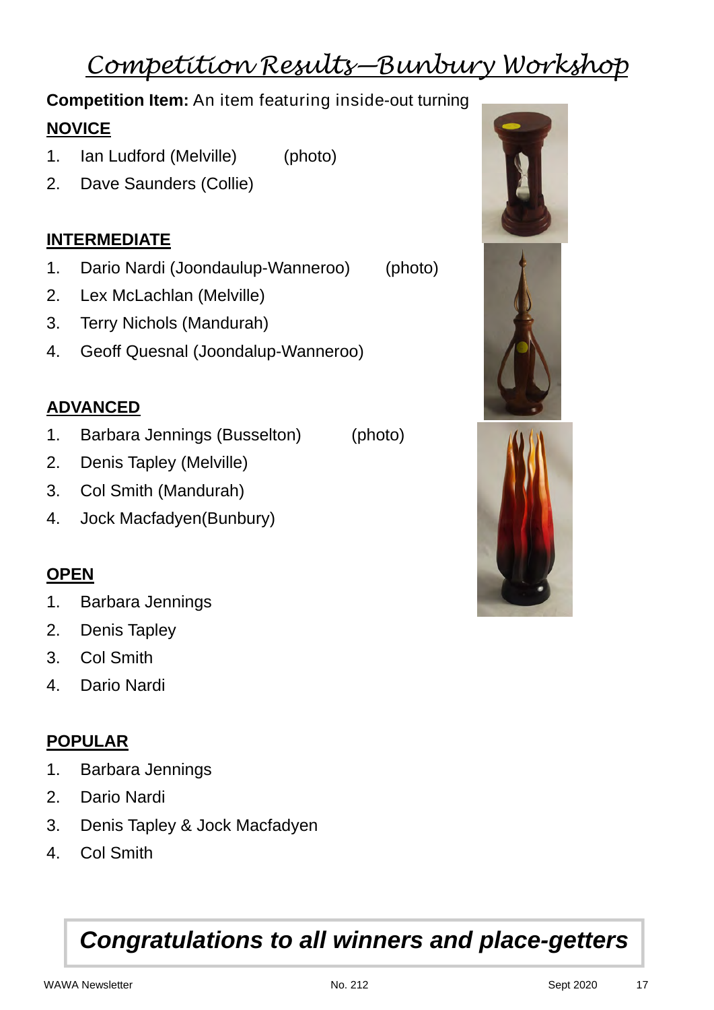# *Competition Results—Bunbury Workshop*

# **Competition Item:** An item featuring inside-out turning **NOVICE**

- 1. Ian Ludford (Melville) (photo)
- 2. Dave Saunders (Collie)

# **INTERMEDIATE**

- 1. Dario Nardi (Joondaulup-Wanneroo) (photo)
- 2. Lex McLachlan (Melville)
- 3. Terry Nichols (Mandurah)
- 4. Geoff Quesnal (Joondalup-Wanneroo)

### **ADVANCED**

- 1. Barbara Jennings (Busselton) (photo)
- 2. Denis Tapley (Melville)
- 3. Col Smith (Mandurah)
- 4. Jock Macfadyen(Bunbury)

### **OPEN**

- 1. Barbara Jennings
- 2. Denis Tapley
- 3. Col Smith
- 4. Dario Nardi

### **POPULAR**

- 1. Barbara Jennings
- 2. Dario Nardi
- 3. Denis Tapley & Jock Macfadyen
- 4. Col Smith

# *Congratulations to all winners and place-getters*